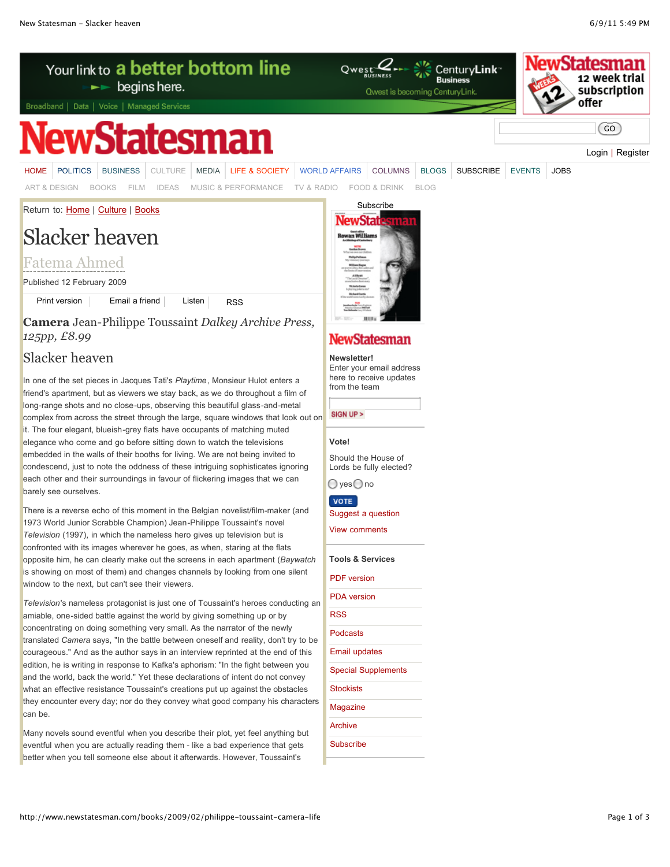

**Camera** Jean-Philippe Toussaint *Dalkey Archive Press, 125pp, £8.99*

# Slacker heaven

In one of the set pieces in Jacques Tati's *Playtime*, Monsieur Hulot enters a friend's apartment, but as viewers we stay back, as we do throughout a film of long-range shots and no close-ups, observing this beautiful glass-and-metal complex from across the street through the large, square windows that look out on it. The four elegant, blueish-grey flats have occupants of matching muted elegance who come and go before sitting down to watch the televisions embedded in the walls of their booths for living. We are not being invited to condescend, just to note the oddness of these intriguing sophisticates ignoring each other and their surroundings in favour of flickering images that we can barely see ourselves.

There is a reverse echo of this moment in the Belgian novelist/film-maker (and 1973 World Junior Scrabble Champion) Jean-Philippe Toussaint's novel *Television* (1997), in which the nameless hero gives up television but is confronted with its images wherever he goes, as when, staring at the flats opposite him, he can clearly make out the screens in each apartment (*Baywatch* is showing on most of them) and changes channels by looking from one silent window to the next, but can't see their viewers.

*Television*'s nameless protagonist is just one of Toussaint's heroes conducting an amiable, one-sided battle against the world by giving something up or by concentrating on doing something very small. As the narrator of the newly translated *Camera* says, "In the battle between oneself and reality, don't try to be courageous." And as the author says in an interview reprinted at the end of this edition, he is writing in response to Kafka's aphorism: "In the fight between you and the world, back the world." Yet these declarations of intent do not convey what an effective resistance Toussaint's creations put up against the obstacles they encounter every day; nor do they convey what good company his characters can be.

Many novels sound eventful when you describe their plot, yet feel anything but eventful when you are actually reading them - like a bad experience that gets better when you tell someone else about it afterwards. However, Toussaint's

## **NewStatesman Newsletter!**

Enter your email address here to receive updates from the team

SIGN UP >

### **Vote!**

Should the House of Lords be fully elected?  $\bigcirc$  yes  $\bigcirc$  no

**VOTE** 

[Suggest a question](http://www.newstatesman.com/suggest-question)

[View comments](http://www.newstatesman.com/polls/3023)

**Tools & Services**

| ີ                          |
|----------------------------|
| <b>PDF</b> version         |
| <b>PDA</b> version         |
| RSS                        |
| Podcasts                   |
| <b>Email updates</b>       |
| <b>Special Supplements</b> |
| <b>Stockists</b>           |
| Magazine                   |
| Archive                    |
| Subscribe                  |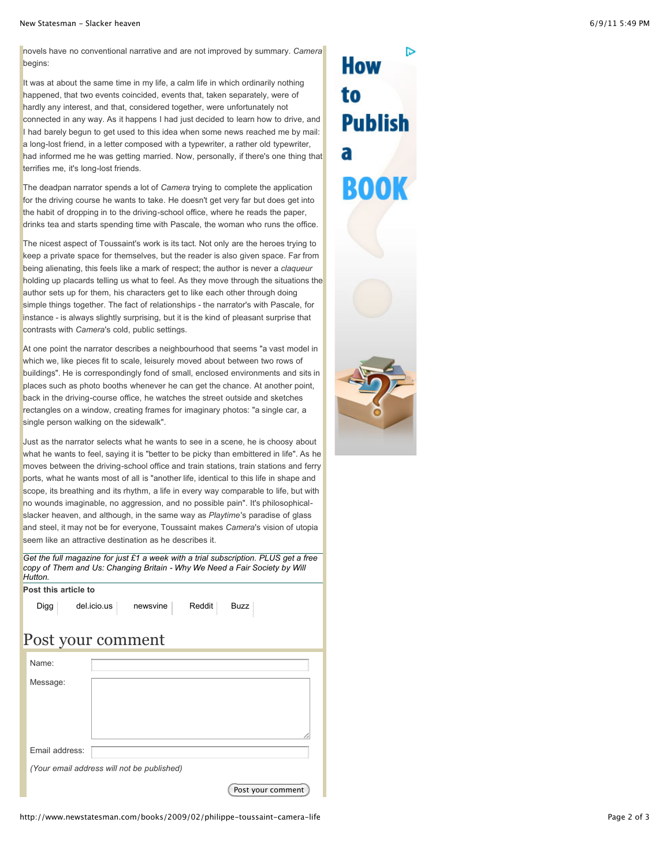novels have no conventional narrative and are not improved by summary. *Camera* begins:

It was at about the same time in my life, a calm life in which ordinarily nothing happened, that two events coincided, events that, taken separately, were of hardly any interest, and that, considered together, were unfortunately not connected in any way. As it happens I had just decided to learn how to drive, and I had barely begun to get used to this idea when some news reached me by mail: a long-lost friend, in a letter composed with a typewriter, a rather old typewriter, had informed me he was getting married. Now, personally, if there's one thing that terrifies me, it's long-lost friends.

The deadpan narrator spends a lot of *Camera* trying to complete the application for the driving course he wants to take. He doesn't get very far but does get into the habit of dropping in to the driving-school office, where he reads the paper, drinks tea and starts spending time with Pascale, the woman who runs the office.

The nicest aspect of Toussaint's work is its tact. Not only are the heroes trying to keep a private space for themselves, but the reader is also given space. Far from being alienating, this feels like a mark of respect; the author is never a *claqueur* holding up placards telling us what to feel. As they move through the situations the author sets up for them, his characters get to like each other through doing simple things together. The fact of relationships - the narrator's with Pascale, for instance - is always slightly surprising, but it is the kind of pleasant surprise that contrasts with *Camera*'s cold, public settings.

At one point the narrator describes a neighbourhood that seems "a vast model in which we, like pieces fit to scale, leisurely moved about between two rows of buildings". He is correspondingly fond of small, enclosed environments and sits in places such as photo booths whenever he can get the chance. At another point, back in the driving-course office, he watches the street outside and sketches rectangles on a window, creating frames for imaginary photos: "a single car, a single person walking on the sidewalk".

Just as the narrator selects what he wants to see in a scene, he is choosy about what he wants to feel, saying it is "better to be picky than embittered in life". As he moves between the driving-school office and train stations, train stations and ferry ports, what he wants most of all is "another life, identical to this life in shape and scope, its breathing and its rhythm, a life in every way comparable to life, but with no wounds imaginable, no aggression, and no possible pain". It's philosophicalslacker heaven, and although, in the same way as *Playtime*'s paradise of glass and steel, it may not be for everyone, Toussaint makes *Camera*'s vision of utopia seem like an attractive destination as he describes it.

*[Get the full magazine for just £1 a week with a trial subscription. PLUS get a free](http://www.newstatesman.com/link/wll) copy of Them and Us: Changing Britain - Why We Need a Fair Society by Will Hutton.*

| Post this article to |                                                         |  |
|----------------------|---------------------------------------------------------|--|
|                      | $del.icio.us$ newsvine<br>Reddit<br><b>Buzz</b><br>Digg |  |
| Post your comment    |                                                         |  |
|                      | Name:                                                   |  |
|                      | Message:                                                |  |
|                      |                                                         |  |
|                      |                                                         |  |
|                      | Email address:                                          |  |
|                      | (Your email address will not be published)              |  |
|                      | Post your comment                                       |  |

How to **Publish** a ROO

D